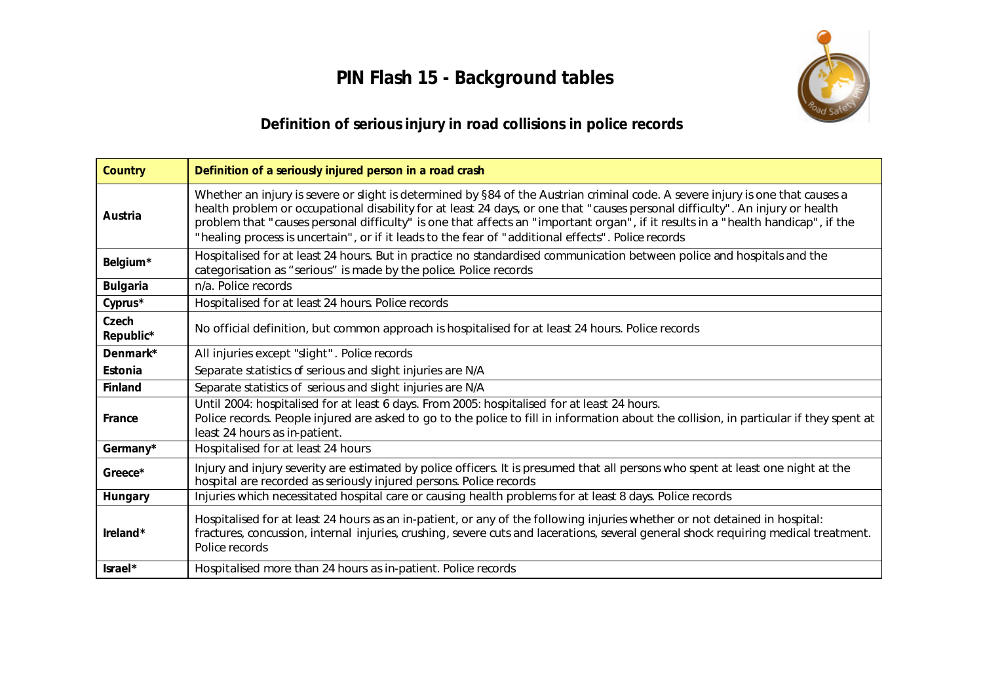**PIN Flash 15 - Background tables**



## **Definition of serious injury in road collisions in police records**

| Country            | Definition of a seriously injured person in a road crash                                                                                                                                                                                                                                                                                                                                                                                                                                                  |
|--------------------|-----------------------------------------------------------------------------------------------------------------------------------------------------------------------------------------------------------------------------------------------------------------------------------------------------------------------------------------------------------------------------------------------------------------------------------------------------------------------------------------------------------|
| Austria            | Whether an injury is severe or slight is determined by §84 of the Austrian criminal code. A severe injury is one that causes a<br>health problem or occupational disability for at least 24 days, or one that "causes personal difficulty". An injury or health<br>problem that "causes personal difficulty" is one that affects an "important organ", if it results in a "health handicap", if the<br>"healing process is uncertain", or if it leads to the fear of "additional effects". Police records |
| Belgium*           | Hospitalised for at least 24 hours. But in practice no standardised communication between police and hospitals and the<br>categorisation as "serious" is made by the police. Police records                                                                                                                                                                                                                                                                                                               |
| Bulgaria           | n/a. Police records                                                                                                                                                                                                                                                                                                                                                                                                                                                                                       |
| Cyprus*            | Hospitalised for at least 24 hours. Police records                                                                                                                                                                                                                                                                                                                                                                                                                                                        |
| Czech<br>Republic* | No official definition, but common approach is hospitalised for at least 24 hours. Police records                                                                                                                                                                                                                                                                                                                                                                                                         |
| Denmark*           | All injuries except "slight". Police records                                                                                                                                                                                                                                                                                                                                                                                                                                                              |
| Estonia            | Separate statistics of serious and slight injuries are N/A                                                                                                                                                                                                                                                                                                                                                                                                                                                |
| Finland            | Separate statistics of serious and slight injuries are N/A                                                                                                                                                                                                                                                                                                                                                                                                                                                |
| France             | Until 2004: hospitalised for at least 6 days. From 2005: hospitalised for at least 24 hours.<br>Police records. People injured are asked to go to the police to fill in information about the collision, in particular if they spent at<br>least 24 hours as in-patient.                                                                                                                                                                                                                                  |
| Germany*           | Hospitalised for at least 24 hours                                                                                                                                                                                                                                                                                                                                                                                                                                                                        |
| Greece*            | Injury and injury severity are estimated by police officers. It is presumed that all persons who spent at least one night at the<br>hospital are recorded as seriously injured persons. Police records                                                                                                                                                                                                                                                                                                    |
| Hungary            | Injuries which necessitated hospital care or causing health problems for at least 8 days. Police records                                                                                                                                                                                                                                                                                                                                                                                                  |
| Ireland*           | Hospitalised for at least 24 hours as an in-patient, or any of the following injuries whether or not detained in hospital:<br>fractures, concussion, internal injuries, crushing, severe cuts and lacerations, several general shock requiring medical treatment.<br>Police records                                                                                                                                                                                                                       |
| $\textsf{Israel*}$ | Hospitalised more than 24 hours as in-patient. Police records                                                                                                                                                                                                                                                                                                                                                                                                                                             |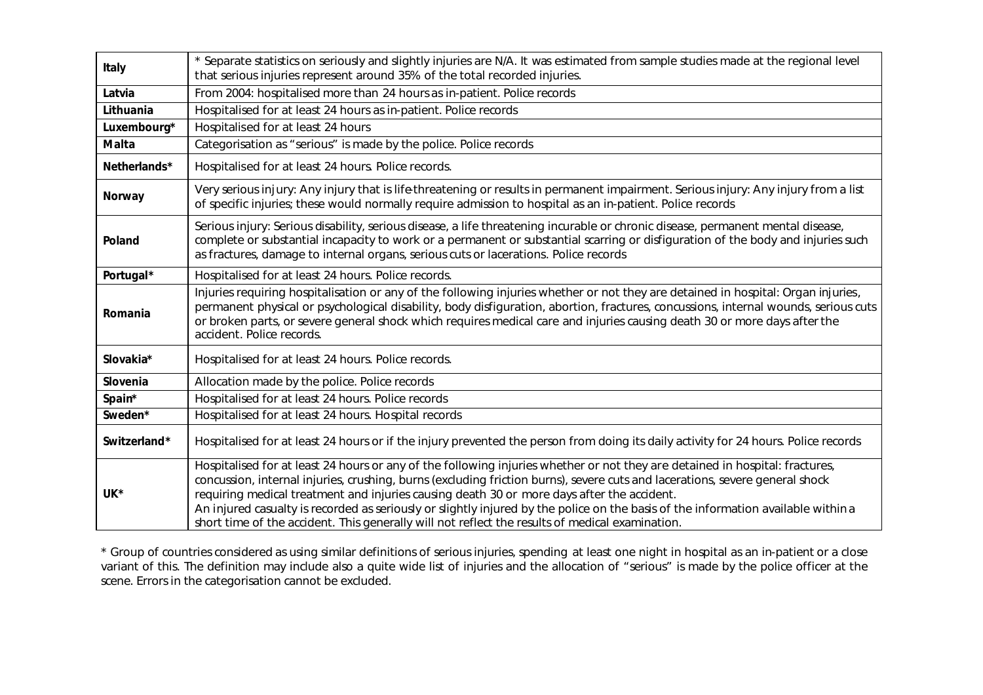| Italy        | * Separate statistics on seriously and slightly injuries are N/A. It was estimated from sample studies made at the regional level<br>that serious injuries represent around 35% of the total recorded injuries.                                                                                                                                                                                                                                                                                                                                                                                    |
|--------------|----------------------------------------------------------------------------------------------------------------------------------------------------------------------------------------------------------------------------------------------------------------------------------------------------------------------------------------------------------------------------------------------------------------------------------------------------------------------------------------------------------------------------------------------------------------------------------------------------|
| Latvia       | From 2004: hospitalised more than 24 hours as in-patient. Police records                                                                                                                                                                                                                                                                                                                                                                                                                                                                                                                           |
| Lithuania    | Hospitalised for at least 24 hours as in-patient. Police records                                                                                                                                                                                                                                                                                                                                                                                                                                                                                                                                   |
| Luxembourg*  | Hospitalised for at least 24 hours                                                                                                                                                                                                                                                                                                                                                                                                                                                                                                                                                                 |
| Malta        | Categorisation as "serious" is made by the police. Police records                                                                                                                                                                                                                                                                                                                                                                                                                                                                                                                                  |
| Netherlands* | Hospitalised for at least 24 hours. Police records.                                                                                                                                                                                                                                                                                                                                                                                                                                                                                                                                                |
| Norway       | Very serious injury: Any injury that is life threatening or results in permanent impairment. Serious injury: Any injury from a list<br>of specific injuries; these would normally require admission to hospital as an in-patient. Police records                                                                                                                                                                                                                                                                                                                                                   |
| Poland       | Serious injury: Serious disability, serious disease, a life threatening incurable or chronic disease, permanent mental disease,<br>complete or substantial incapacity to work or a permanent or substantial scarring or disfiguration of the body and injuries such<br>as fractures, damage to internal organs, serious cuts or lacerations. Police records                                                                                                                                                                                                                                        |
| Portugal*    | Hospitalised for at least 24 hours. Police records.                                                                                                                                                                                                                                                                                                                                                                                                                                                                                                                                                |
| Romania      | Injuries requiring hospitalisation or any of the following injuries whether or not they are detained in hospital: Organ injuries,<br>permanent physical or psychological disability, body disfiguration, abortion, fractures, concussions, internal wounds, serious cuts<br>or broken parts, or severe general shock which requires medical care and injuries causing death 30 or more days after the<br>accident. Police records.                                                                                                                                                                 |
| Slovakia*    | Hospitalised for at least 24 hours. Police records.                                                                                                                                                                                                                                                                                                                                                                                                                                                                                                                                                |
| Slovenia     | Allocation made by the police. Police records                                                                                                                                                                                                                                                                                                                                                                                                                                                                                                                                                      |
| Spain*       | Hospitalised for at least 24 hours. Police records                                                                                                                                                                                                                                                                                                                                                                                                                                                                                                                                                 |
| Sweden*      | Hospitalised for at least 24 hours. Hospital records                                                                                                                                                                                                                                                                                                                                                                                                                                                                                                                                               |
| Switzerland* | Hospitalised for at least 24 hours or if the injury prevented the person from doing its daily activity for 24 hours. Police records                                                                                                                                                                                                                                                                                                                                                                                                                                                                |
| UK*          | Hospitalised for at least 24 hours or any of the following injuries whether or not they are detained in hospital: fractures,<br>concussion, internal injuries, crushing, burns (excluding friction burns), severe cuts and lacerations, severe general shock<br>requiring medical treatment and injuries causing death 30 or more days after the accident.<br>An injured casualty is recorded as seriously or slightly injured by the police on the basis of the information available within a<br>short time of the accident. This generally will not reflect the results of medical examination. |

\* Group of countries considered as using similar definitions of serious injuries, spending *at least one night in hospital as an in-patient* or a close variant of this. The definition may include also a quite wide list of injuries and the allocation of "serious" is made by the police officer at the scene. Errors in the categorisation cannot be excluded.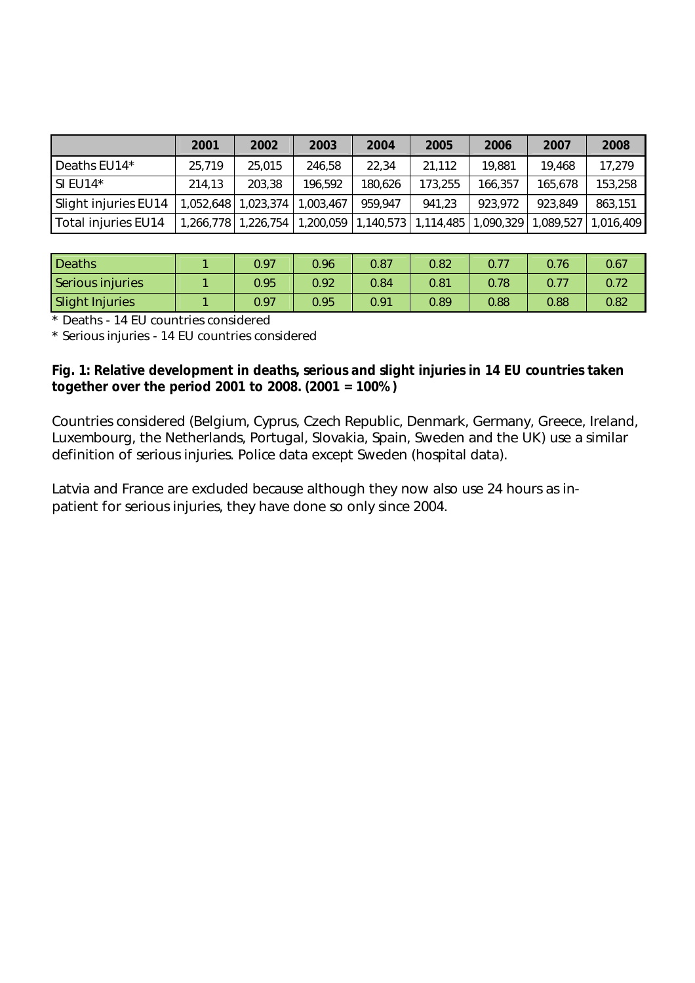|                      | 2001   | 2002                | 2003      | 2004    | 2005    | 2006    | 2007    | 2008                                                                                         |
|----------------------|--------|---------------------|-----------|---------|---------|---------|---------|----------------------------------------------------------------------------------------------|
| Deaths EU14*         | 25,719 | 25,015              | 246,58    | 22,34   | 21,112  | 19.881  | 19,468  | 17,279                                                                                       |
| $SI$ EU14*           | 214.13 | 203,38              | 196,592   | 180,626 | 173,255 | 166,357 | 165.678 | 153,258                                                                                      |
| Slight injuries EU14 |        | 1,052,648 1,023,374 | 1,003,467 | 959.947 | 941,23  | 923.972 | 923.849 | 863,151                                                                                      |
| Total injuries EU14  |        |                     |           |         |         |         |         | ,266,778   1,226,754   1,200,059   1,140,573   1,114,485   1,090,329   1,089,527   1,016,409 |

| Deaths                 | 0.97 | 0.96 | 0.87 | 0.82 |      | 0.76 | 0.67 |
|------------------------|------|------|------|------|------|------|------|
| Serious injuries       | 0.95 | 0.92 | 0.84 | 0.81 | 0.78 |      |      |
| <b>Slight Injuries</b> | 0.97 | 0.95 | 0.91 | 0.89 | 0.88 | 0.88 | 0.82 |

\* Deaths - 14 EU countries considered

\* Serious injuries - 14 EU countries considered

**Fig. 1: Relative development in deaths, serious and slight injuries in 14 EU countries taken together over the period 2001 to 2008. (2001 = 100%)**

Countries considered (Belgium, Cyprus, Czech Republic, Denmark, Germany, Greece, Ireland, Luxembourg, the Netherlands, Portugal, Slovakia, Spain, Sweden and the UK) use a similar definition of serious injuries. Police data except Sweden (hospital data).

Latvia and France are excluded because although they now also use 24 hours as inpatient for serious injuries, they have done so only since 2004.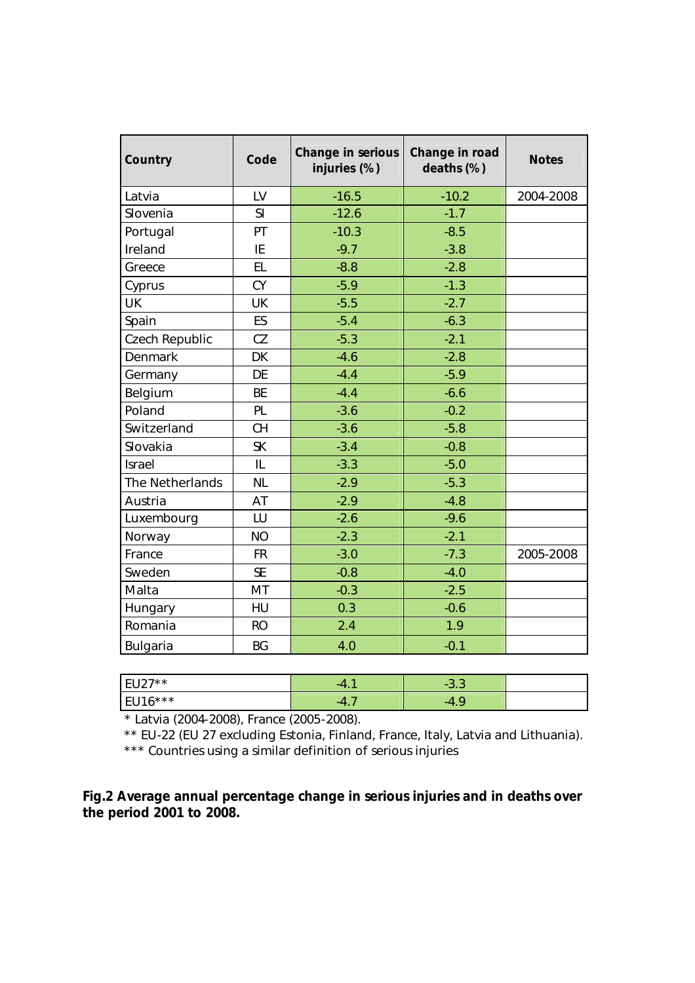| Country              | Change in serious<br>Code<br>injuries (%) |         | Change in road<br>deaths (%) | <b>Notes</b> |
|----------------------|-------------------------------------------|---------|------------------------------|--------------|
| Latvia               | LV                                        | $-16.5$ | $-10.2$                      | 2004-2008    |
| Slovenia             | S <sub>l</sub>                            | $-12.6$ | $-1.7$                       |              |
| Portugal             | PT                                        | $-10.3$ | $-8.5$                       |              |
| Ireland              | IE                                        | $-9.7$  | $-3.8$                       |              |
| Greece               | EL                                        | $-8.8$  | $-2.8$                       |              |
| Cyprus               | CY                                        | $-5.9$  | $-1.3$                       |              |
| <b>UK</b>            | UK                                        | $-5.5$  | $-2.7$                       |              |
| Spain                | ES                                        | $-5.4$  | $-6.3$                       |              |
| Czech Republic       | CZ                                        | $-5.3$  | $-2.1$                       |              |
| Denmark              | <b>DK</b>                                 | $-4.6$  | $-2.8$                       |              |
| Germany              | DE                                        | $-4.4$  | $-5.9$                       |              |
| Belgium              | BE                                        | $-4.4$  | $-6.6$                       |              |
| Poland               | PL                                        | $-3.6$  | $-0.2$                       |              |
| Switzerland          | CH                                        | $-3.6$  | $-5.8$                       |              |
| Slovakia             | <b>SK</b>                                 | $-3.4$  | $-0.8$                       |              |
| Israel               | IL                                        | $-3.3$  | $-5.0$                       |              |
| The Netherlands      | NL                                        | $-2.9$  | $-5.3$                       |              |
| Austria              | AT                                        | $-2.9$  | $-4.8$                       |              |
| Luxembourg           | LU                                        | $-2.6$  | $-9.6$                       |              |
| Norway               | NO                                        | $-2.3$  | $-2.1$                       |              |
| France               | FR                                        | $-3.0$  | $-7.3$                       | 2005-2008    |
| Sweden               | <b>SE</b>                                 | $-0.8$  | $-4.0$                       |              |
| Malta                | MT                                        | $-0.3$  | $-2.5$                       |              |
| Hungary              | HU                                        | 0.3     | $-0.6$                       |              |
| Romania<br><b>RO</b> |                                           | 2.4     | 1.9                          |              |
| Bulgaria             | <b>BG</b>                                 | 4.0     | $-0.1$                       |              |

| $107 \times x$<br>$\sim$<br>$\sim$<br>_<br>ີ | $-4$ | $\sim$<br>$\sim$<br>-<br>ت د<br>ັ |  |
|----------------------------------------------|------|-----------------------------------|--|
| $116$ $+14$<br>$ -$<br>╰<br>◡                | $-4$ | $-L$                              |  |

\* Latvia (2004-2008), France (2005-2008).

 \*\* EU-22 (EU 27 excluding Estonia, Finland, France, Italy, Latvia and Lithuania). \*\*\* Countries using a similar definition of serious injuries

**Fig.2 Average annual percentage change in serious injuries and in deaths over the period 2001 to 2008.**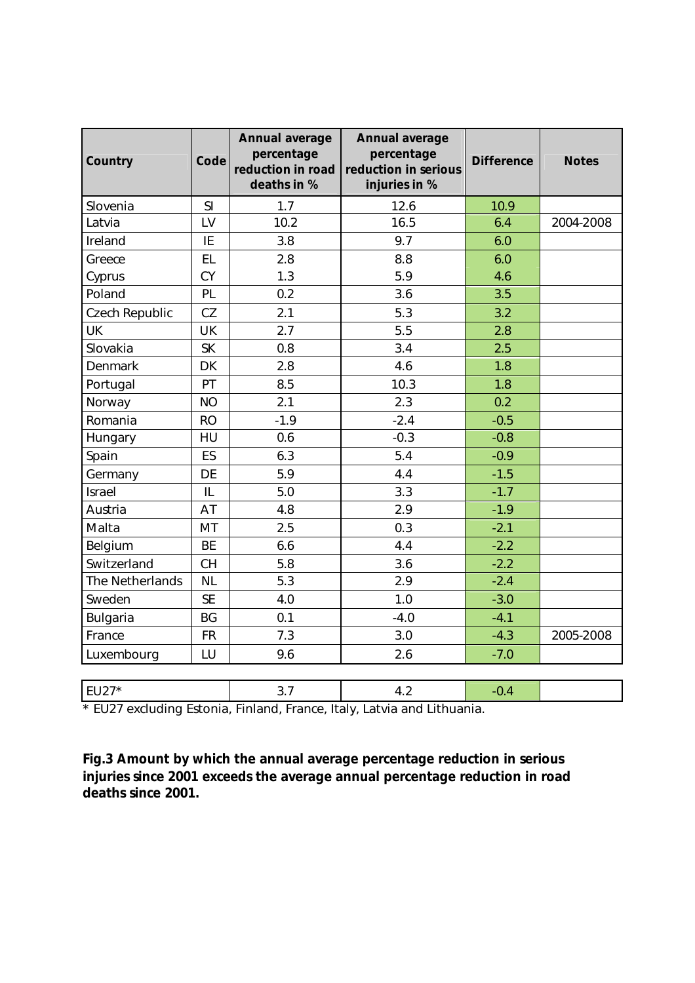| Country         | Code           | Annual average<br>percentage<br>reduction in road<br>deaths in % | Annual average<br>percentage<br>reduction in serious<br>injuries in % | Difference | <b>Notes</b> |
|-----------------|----------------|------------------------------------------------------------------|-----------------------------------------------------------------------|------------|--------------|
| Slovenia        | S <sub>l</sub> | 1.7                                                              | 12.6                                                                  | 10.9       |              |
| Latvia          | LV             | 10.2                                                             | 16.5                                                                  | 6.4        | 2004-2008    |
| Ireland         | IE             | 3.8                                                              | 9.7                                                                   | 6.0        |              |
| Greece          | EL             | 2.8                                                              | 8.8                                                                   | 6.0        |              |
| Cyprus          | CY             | 1.3<br>5.9                                                       |                                                                       | 4.6        |              |
| Poland          | PL             | 0.2<br>3.6                                                       |                                                                       | 3.5        |              |
| Czech Republic  | CZ             | 2.1                                                              | 5.3                                                                   | 3.2        |              |
| <b>UK</b>       | UK             | 2.7                                                              | 5.5                                                                   | 2.8        |              |
| Slovakia        | <b>SK</b>      | 0.8                                                              | 3.4                                                                   | 2.5        |              |
| Denmark         | DK             | 2.8                                                              | 4.6                                                                   | 1.8        |              |
| Portugal        | PT             | 8.5                                                              | 10.3                                                                  | 1.8        |              |
| Norway          | NO             | 2.1                                                              | 2.3                                                                   | 0.2        |              |
| Romania         | <b>RO</b>      | $-1.9$                                                           | $-2.4$                                                                | $-0.5$     |              |
| Hungary         | HU             | 0.6                                                              | $-0.3$                                                                | $-0.8$     |              |
| Spain           | ES             | 6.3                                                              | 5.4                                                                   | $-0.9$     |              |
| Germany         | DE             | 5.9                                                              | 4.4                                                                   | $-1.5$     |              |
| Israel          | IL             | 5.0                                                              | 3.3                                                                   | $-1.7$     |              |
| Austria         | AT             | 4.8                                                              | 2.9                                                                   | $-1.9$     |              |
| Malta           | MT             | 2.5                                                              | 0.3                                                                   | $-2.1$     |              |
| Belgium         | <b>BE</b>      | 6.6                                                              | 4.4                                                                   | $-2.2$     |              |
| Switzerland     | CH             | 5.8                                                              | 3.6                                                                   | $-2.2$     |              |
| The Netherlands | <b>NL</b>      | 5.3                                                              | 2.9                                                                   | $-2.4$     |              |
| Sweden          | <b>SE</b>      | 4.0                                                              | 1.0                                                                   | $-3.0$     |              |
| Bulgaria        | BG             | 0.1                                                              | $-4.0$                                                                | $-4.1$     |              |
| France          | FR             | 7.3                                                              | 3.0                                                                   | $-4.3$     | 2005-2008    |
| Luxembourg      | LU             | 9.6                                                              | 2.6                                                                   | $-7.0$     |              |
|                 |                |                                                                  |                                                                       |            |              |
| EU27*           |                | 3.7                                                              | 4.2                                                                   | $-0.4$     |              |

\* EU27 excluding Estonia, Finland, France, Italy, Latvia and Lithuania.

**Fig.3 Amount by which the annual average percentage reduction in serious injuries since 2001 exceeds the average annual percentage reduction in road deaths since 2001.**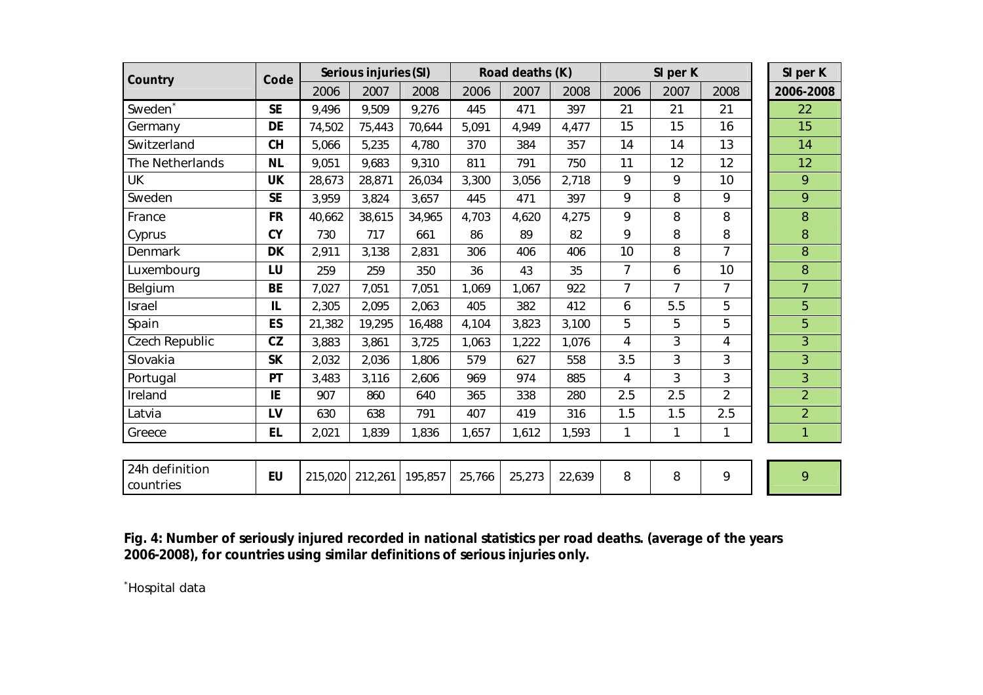| Country                     | Code      | Serious injuries (SI) |         |         |        | Road deaths (K) |        |                | SI per K |                | SI per K       |
|-----------------------------|-----------|-----------------------|---------|---------|--------|-----------------|--------|----------------|----------|----------------|----------------|
|                             |           | 2006                  | 2007    | 2008    | 2006   | 2007            | 2008   | 2006           | 2007     | 2008           | 2006-2008      |
| Sweden <sup>*</sup>         | <b>SE</b> | 9,496                 | 9,509   | 9,276   | 445    | 471             | 397    | 21             | 21       | 21             | 22             |
| Germany                     | DE        | 74,502                | 75,443  | 70,644  | 5,091  | 4,949           | 4,477  | 15             | 15       | 16             | 15             |
| Switzerland                 | <b>CH</b> | 5,066                 | 5,235   | 4,780   | 370    | 384             | 357    | 14             | 14       | 13             | 14             |
| The Netherlands             | <b>NL</b> | 9,051                 | 9,683   | 9,310   | 811    | 791             | 750    | 11             | 12       | 12             | 12             |
| UK                          | UK        | 28,673                | 28,871  | 26,034  | 3,300  | 3,056           | 2,718  | 9              | 9        | 10             | 9              |
| Sweden                      | <b>SE</b> | 3,959                 | 3,824   | 3,657   | 445    | 471             | 397    | 9              | 8        | 9              | 9              |
| France                      | <b>FR</b> | 40,662                | 38,615  | 34,965  | 4,703  | 4,620           | 4,275  | 9              | 8        | 8              | 8              |
| Cyprus                      | <b>CY</b> | 730                   | 717     | 661     | 86     | 89              | 82     | 9              | 8        | 8              | $\,8\,$        |
| Denmark                     | <b>DK</b> | 2,911                 | 3,138   | 2,831   | 306    | 406             | 406    | 10             | 8        | $\overline{7}$ | 8              |
| Luxembourg                  | LU        | 259                   | 259     | 350     | 36     | 43              | 35     | $\overline{7}$ | 6        | 10             | 8              |
| Belgium                     | <b>BE</b> | 7,027                 | 7,051   | 7,051   | 1,069  | 1,067           | 922    | 7              | 7        |                | 7              |
| Israel                      | IL        | 2,305                 | 2,095   | 2,063   | 405    | 382             | 412    | 6              | 5.5      | 5              | 5              |
| Spain                       | ES        | 21,382                | 19,295  | 16,488  | 4,104  | 3,823           | 3,100  | 5              | 5        | 5              | 5              |
| Czech Republic              | CZ        | 3,883                 | 3,861   | 3,725   | 1,063  | 1,222           | 1,076  | $\overline{4}$ | 3        | $\overline{4}$ | 3              |
| Slovakia                    | SK        | 2,032                 | 2,036   | 1,806   | 579    | 627             | 558    | 3.5            | 3        | 3              | 3              |
| Portugal                    | PT        | 3,483                 | 3,116   | 2,606   | 969    | 974             | 885    | $\overline{4}$ | 3        | 3              | 3              |
| Ireland                     | IE        | 907                   | 860     | 640     | 365    | 338             | 280    | 2.5            | 2.5      | $\overline{2}$ | $\overline{2}$ |
| Latvia                      | LV        | 630                   | 638     | 791     | 407    | 419             | 316    | 1.5            | 1.5      | 2.5            | $\overline{2}$ |
| Greece                      | EL        | 2,021                 | 1,839   | 1,836   | 1,657  | 1,612           | 1,593  | 1              | 1        | 1              |                |
|                             |           |                       |         |         |        |                 |        |                |          |                |                |
| 24h definition<br>countries | EU        | 215,020               | 212,261 | 195,857 | 25,766 | 25,273          | 22,639 | 8              | 8        | 9              | 9              |

**Fig. 4: Number of seriously injured recorded in national statistics per road deaths. (average of the years 2006-2008), for countries using similar definitions of serious injuries only.**

\*Hospital data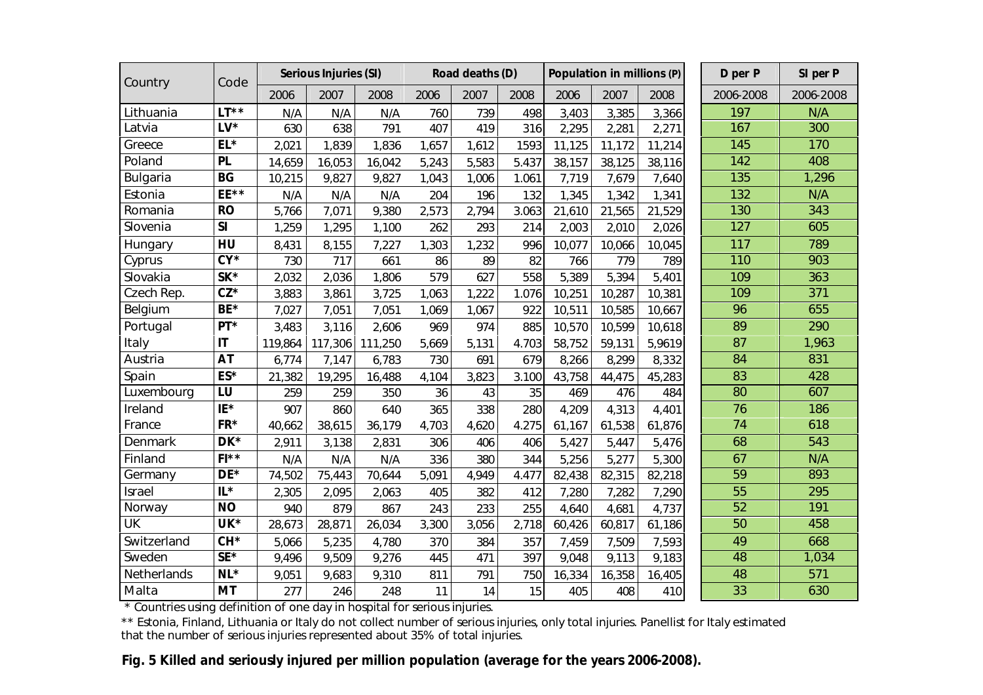| Country     | Code                   | Serious Injuries (SI) |         |         |       | Road deaths (D) |       |        | Population in millions (P) |        | D per P         | SI per P  |
|-------------|------------------------|-----------------------|---------|---------|-------|-----------------|-------|--------|----------------------------|--------|-----------------|-----------|
|             |                        | 2006                  | 2007    | 2008    | 2006  | 2007            | 2008  | 2006   | 2007                       | 2008   | 2006-2008       | 2006-2008 |
| Lithuania   | $LT**$                 | N/A                   | N/A     | N/A     | 760   | 739             | 498   | 3,403  | 3,385                      | 3,366  | 197             | N/A       |
| Latvia      | $LV^*$                 | 630                   | 638     | 791     | 407   | 419             | 316   | 2,295  | 2,281                      | 2,271  | 167             | 300       |
| Greece      | $EL*$                  | 2,021                 | 1,839   | 1,836   | 1,657 | 1,612           | 1593  | 11,125 | 11,172                     | 11,214 | 145             | 170       |
| Poland      | PL                     | 14,659                | 16,053  | 16,042  | 5,243 | 5,583           | 5.437 | 38,157 | 38,125                     | 38,116 | 142             | 408       |
| Bulgaria    | <b>BG</b>              | 10,215                | 9,827   | 9,827   | 1,043 | 1,006           | 1.061 | 7,719  | 7,679                      | 7,640  | 135             | ,296      |
| Estonia     | EE**                   | N/A                   | N/A     | N/A     | 204   | 196             | 132   | 1,345  | 1,342                      | 1,341  | 132             | N/A       |
| Romania     | <b>RO</b>              | 5,766                 | 7,071   | 9,380   | 2,573 | 2,794           | 3.063 | 21,610 | 21,565                     | 21,529 | 130             | 343       |
| Slovenia    | SI                     | 1,259                 | 1,295   | 1,100   | 262   | 293             | 214   | 2,003  | 2,010                      | 2,026  | 127             | 605       |
| Hungary     | HU                     | 8,431                 | 8,155   | 7,227   | 1,303 | 1,232           | 996   | 10,077 | 10,066                     | 10,045 | 117             | 789       |
| Cyprus      | $CY^*$                 | 730                   | 717     | 661     | 86    | 89              | 82    | 766    | 779                        | 789    | 110             | 903       |
| Slovakia    | $SK*$                  | 2,032                 | 2,036   | 1,806   | 579   | 627             | 558   | 5,389  | 5,394                      | 5,401  | 109             | 363       |
| Czech Rep.  | $CZ^*$                 | 3,883                 | 3,861   | 3,725   | 1,063 | 1,222           | 1.076 | 10,251 | 10,287                     | 10,381 | 109             | 371       |
| Belgium     | $BE*$                  | 7,027                 | 7,051   | 7,051   | 1,069 | 1,067           | 922   | 10,511 | 10,585                     | 10,667 | 96              | 655       |
| Portugal    | $PT^*$                 | 3,483                 | 3,116   | 2,606   | 969   | 974             | 885   | 10,570 | 10,599                     | 10,618 | 89              | 290       |
| Italy       | $\mathsf{I}\mathsf{T}$ | 119,864               | 117,306 | 111,250 | 5,669 | 5,131           | 4.703 | 58,752 | 59,131                     | 5,9619 | 87              | 1,963     |
| Austria     | A <sub>T</sub>         | 6,774                 | 7,147   | 6,783   | 730   | 691             | 679   | 8,266  | 8,299                      | 8,332  | 84              | 831       |
| Spain       | ES*                    | 21,382                | 19,295  | 16,488  | 4,104 | 3,823           | 3.100 | 43,758 | 44,475                     | 45,283 | 83              | 428       |
| Luxembourg  | LU                     | 259                   | 259     | 350     | 36    | 43              | 35    | 469    | 476                        | 484    | 80              | 607       |
| Ireland     | IE*                    | 907                   | 860     | 640     | 365   | 338             | 280   | 4,209  | 4,313                      | 4,401  | 76              | 186       |
| France      | FR*                    | 40,662                | 38,615  | 36,179  | 4,703 | 4,620           | 4.275 | 61,167 | 61,538                     | 61,876 | 74              | 618       |
| Denmark     | $DK*$                  | 2,911                 | 3,138   | 2,831   | 306   | 406             | 406   | 5,427  | 5,447                      | 5,476  | 68              | 543       |
| Finland     | $FI**$                 | N/A                   | N/A     | N/A     | 336   | 380             | 344   | 5,256  | 5,277                      | 5,300  | 67              | N/A       |
| Germany     | $DE*$                  | 74,502                | 75,443  | 70,644  | 5,091 | 4,949           | 4.477 | 82,438 | 82,315                     | 82,218 | 59              | 893       |
| Israel      | $  $ *                 | 2,305                 | 2,095   | 2,063   | 405   | 382             | 412   | 7,280  | 7,282                      | 7,290  | 55              | 295       |
| Norway      | <b>NO</b>              | 940                   | 879     | 867     | 243   | 233             | 255   | 4,640  | 4,681                      | 4,737  | $\overline{52}$ | 191       |
| UK          | UK*                    | 28,673                | 28,871  | 26,034  | 3,300 | 3,056           | 2,718 | 60,426 | 60,817                     | 61,186 | 50              | 458       |
| Switzerland | CH*                    | 5,066                 | 5,235   | 4,780   | 370   | 384             | 357   | 7,459  | 7,509                      | 7,593  | 49              | 668       |
| Sweden      | $SE*$                  | 9,496                 | 9,509   | 9,276   | 445   | 471             | 397   | 9,048  | 9,113                      | 9,183  | 48              | 1,034     |
| Netherlands | $NL*$                  | 9,051                 | 9,683   | 9,310   | 811   | 791             | 750   | 16,334 | 16,358                     | 16,405 | 48              | 571       |
| Malta       | MT                     | 277                   | 246     | 248     | 11    | 14              | 15    | 405    | 408                        | 410    | 33              | 630       |

\* Countries using definition of one day in hospital for serious injuries.

\*\* Estonia, Finland, Lithuania or Italy do not collect number of serious injuries, only total injuries. Panellist for Italy estimated that the number of serious injuries represented about 35% of total injuries.

 **Fig. 5 Killed and seriously injured per million population (average for the years 2006-2008).**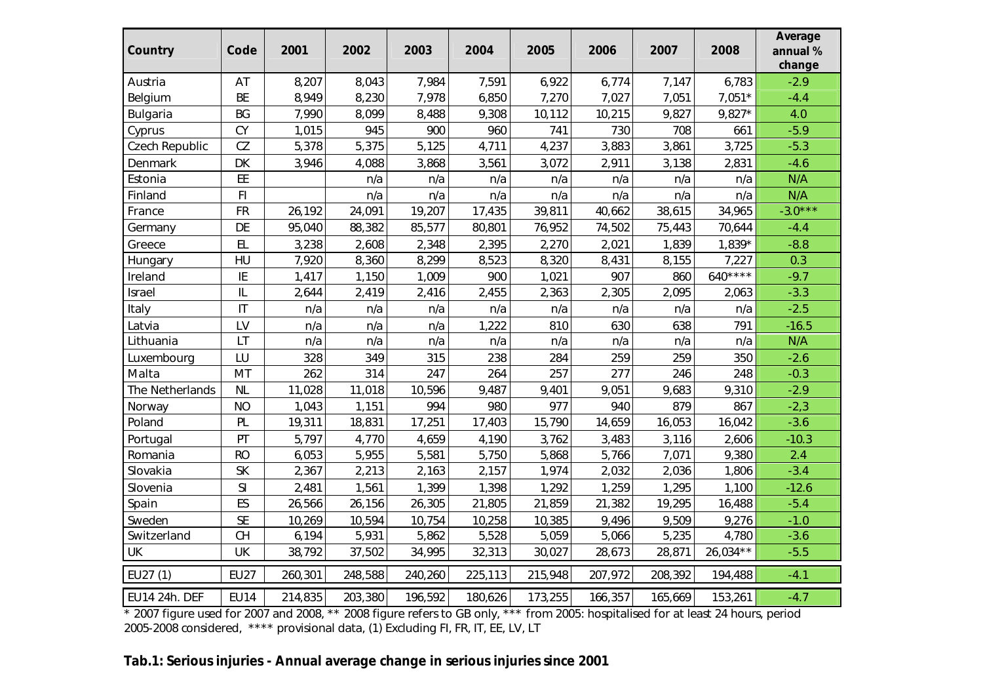| Country         | Code           | 2001    | 2002    | 2003    | 2004    | 2005    | 2006    | 2007    | 2008      | Average<br>annual %<br>change |
|-----------------|----------------|---------|---------|---------|---------|---------|---------|---------|-----------|-------------------------------|
| Austria         | AT             | 8,207   | 8,043   | 7,984   | 7,591   | 6,922   | 6,774   | 7,147   | 6,783     | $-2.9$                        |
| Belgium         | BE             | 8,949   | 8,230   | 7,978   | 6,850   | 7,270   | 7,027   | 7,051   | $7,051*$  | $-4.4$                        |
| Bulgaria        | BG             | 7,990   | 8,099   | 8,488   | 9,308   | 10,112  | 10,215  | 9,827   | $9,827*$  | 4.0                           |
| Cyprus          | CY             | 1,015   | 945     | 900     | 960     | 741     | 730     | 708     | 661       | $-5.9$                        |
| Czech Republic  | CZ             | 5,378   | 5,375   | 5,125   | 4,711   | 4,237   | 3,883   | 3,861   | 3,725     | $-5.3$                        |
| Denmark         | DK             | 3,946   | 4,088   | 3,868   | 3,561   | 3,072   | 2,911   | 3,138   | 2,831     | $-4.6$                        |
| Estonia         | EE             |         | n/a     | n/a     | n/a     | n/a     | n/a     | n/a     | n/a       | N/A                           |
| Finland         | F <sub>1</sub> |         | n/a     | n/a     | n/a     | n/a     | n/a     | n/a     | n/a       | N/A                           |
| France          | FR             | 26,192  | 24,091  | 19,207  | 17,435  | 39,811  | 40,662  | 38,615  | 34,965    | $-3.0***$                     |
| Germany         | DE             | 95,040  | 88,382  | 85,577  | 80,801  | 76,952  | 74,502  | 75,443  | 70,644    | $-4.4$                        |
| Greece          | EL             | 3,238   | 2,608   | 2,348   | 2,395   | 2,270   | 2,021   | 1,839   | 1,839*    | $-8.8$                        |
| Hungary         | HU             | 7,920   | 8,360   | 8,299   | 8,523   | 8,320   | 8,431   | 8,155   | 7,227     | 0.3                           |
| Ireland         | IE             | 1,417   | 1,150   | 1,009   | 900     | 1,021   | 907     | 860     | $640***$  | $-9.7$                        |
| Israel          | L              | 2,644   | 2,419   | 2,416   | 2,455   | 2,363   | 2,305   | 2,095   | 2,063     | $-3.3$                        |
| Italy           | $\overline{1}$ | n/a     | n/a     | n/a     | n/a     | n/a     | n/a     | n/a     | n/a       | $-2.5$                        |
| Latvia          | LV             | n/a     | n/a     | n/a     | 1,222   | 810     | 630     | 638     | 791       | $-16.5$                       |
| Lithuania       | LT             | n/a     | n/a     | n/a     | n/a     | n/a     | n/a     | n/a     | n/a       | N/A                           |
| Luxembourg      | LU             | 328     | 349     | 315     | 238     | 284     | 259     | 259     | 350       | $-2.6$                        |
| Malta           | MT             | 262     | 314     | 247     | 264     | 257     | 277     | 246     | 248       | $-0.3$                        |
| The Netherlands | N <sub>L</sub> | 11,028  | 11,018  | 10,596  | 9,487   | 9,401   | 9,051   | 9,683   | 9,310     | $-2.9$                        |
| Norway          | NO             | 1,043   | 1,151   | 994     | 980     | 977     | 940     | 879     | 867       | $-2,3$                        |
| Poland          | PL             | 19,311  | 18,831  | 17,251  | 17,403  | 15,790  | 14,659  | 16,053  | 16,042    | $-3.6$                        |
| Portugal        | PT             | 5,797   | 4,770   | 4,659   | 4,190   | 3,762   | 3,483   | 3,116   | 2,606     | $-10.3$                       |
| Romania         | RO             | 6,053   | 5,955   | 5,581   | 5,750   | 5,868   | 5,766   | 7,071   | 9,380     | 2.4                           |
| Slovakia        | <b>SK</b>      | 2,367   | 2,213   | 2,163   | 2,157   | 1,974   | 2,032   | 2,036   | 1,806     | $-3.4$                        |
| Slovenia        | S <sub>l</sub> | 2,481   | 1,561   | 1,399   | 1,398   | 1,292   | 1,259   | 1,295   | 1,100     | $-12.6$                       |
| Spain           | ES             | 26,566  | 26,156  | 26,305  | 21,805  | 21,859  | 21,382  | 19,295  | 16,488    | $-5.4$                        |
| Sweden          | <b>SE</b>      | 10,269  | 10,594  | 10,754  | 10,258  | 10,385  | 9,496   | 9,509   | 9,276     | $-1.0$                        |
| Switzerland     | CH             | 6,194   | 5,931   | 5,862   | 5,528   | 5,059   | 5,066   | 5,235   | 4,780     | $-3.6$                        |
| UK              | UK             | 38,792  | 37,502  | 34,995  | 32,313  | 30,027  | 28,673  | 28,871  | 26,034 ** | $-5.5$                        |
| EU27 (1)        | <b>EU27</b>    | 260,301 | 248,588 | 240,260 | 225,113 | 215,948 | 207,972 | 208,392 | 194,488   | $-4.1$                        |
| EU14 24h. DEF   | <b>EU14</b>    | 214,835 | 203,380 | 196,592 | 180,626 | 173,255 | 166,357 | 165,669 | 153,261   | $-4.7$                        |

\* 2007 figure used for 2007 and 2008, \*\* 2008 figure refers to GB only, \*\*\* from 2005: hospitalised for at least 24 hours, period 2005-2008 considered, \*\*\*\* provisional data, (1) Excluding FI, FR, IT, EE, LV, LT

**Tab.1: Serious injuries - Annual average change in serious injuries since 2001**